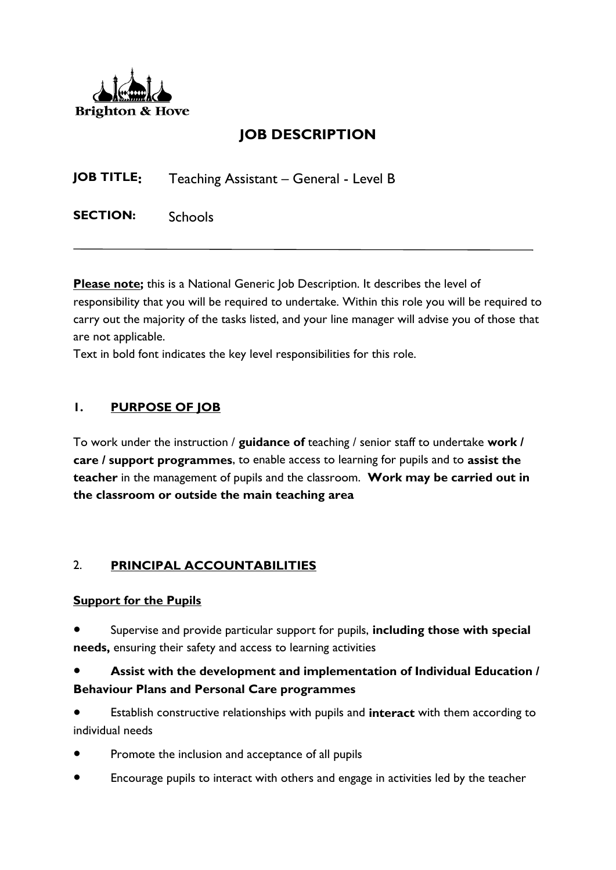

# **JOB DESCRIPTION**

**JOB TITLE:** Teaching Assistant – General - Level B

SECTION: Schools

**Please note;** this is a National Generic Job Description. It describes the level of responsibility that you will be required to undertake. Within this role you will be required to carry out the majority of the tasks listed, and your line manager will advise you of those that are not applicable.

Text in bold font indicates the key level responsibilities for this role.

#### **1. PURPOSE OF JOB**

To work under the instruction / **guidance of** teaching / senior staff to undertake **work / care / support programmes**, to enable access to learning for pupils and to **assist the teacher** in the management of pupils and the classroom. **Work may be carried out in the classroom or outside the main teaching area**

### 2. **PRINCIPAL ACCOUNTABILITIES**

#### **Support for the Pupils**

Supervise and provide particular support for pupils, *including those with special* **needs,** ensuring their safety and access to learning activities

### Assist with the development and implementation of Individual Education / **Behaviour Plans and Personal Care programmes**

Establish constructive relationships with pupils and **interact** with them according to individual needs

- Promote the inclusion and acceptance of all pupils
- Encourage pupils to interact with others and engage in activities led by the teacher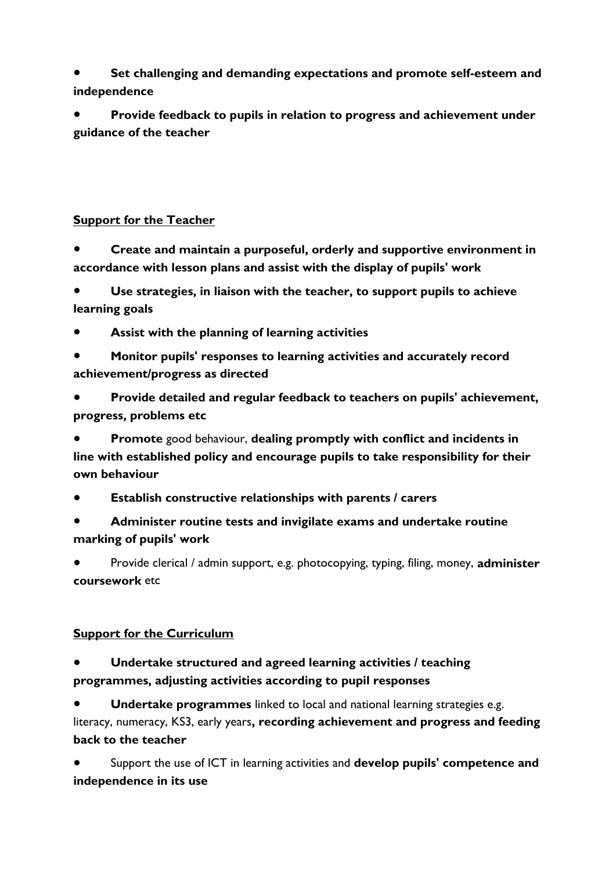**Set challenging and demanding expectations and promote self-esteem and independence**

Provide feedback to pupils in relation to progress and achievement under **guidance of the teacher**

### **Support for the Teacher**

● **Create and maintain a purposeful, orderly and supportive environment in accordance with lesson plans and assist with the display of pupils' work**

Use strategies, in liaison with the teacher, to support pupils to achieve **learning goals**

- Assist with the planning of learning activities
- **Monitor pupils' responses to learning activities and accurately record achievement/progress as directed**

Provide detailed and regular feedback to teachers on pupils' achievement, **progress, problems etc**

**Promote** good behaviour, dealing promptly with conflict and incidents in **line with established policy and encourage pupils to take responsibility for their own behaviour**

- **Establish constructive relationships with parents / carers**
- **Administer routine tests and invigilate exams and undertake routine marking of pupils' work**

● Provide clerical / admin support, e.g. photocopying, typing, filing, money, **administer coursework** etc

# **Support for the Curriculum**

# Undertake structured and agreed learning activities / teaching **programmes, adjusting activities according to pupil responses**

**Undertake programmes** linked to local and national learning strategies e.g. literacy, numeracy, KS3, early years**, recording achievement and progress and feeding back to the teacher**

Support the use of ICT in learning activities and **develop pupils' competence and independence in its use**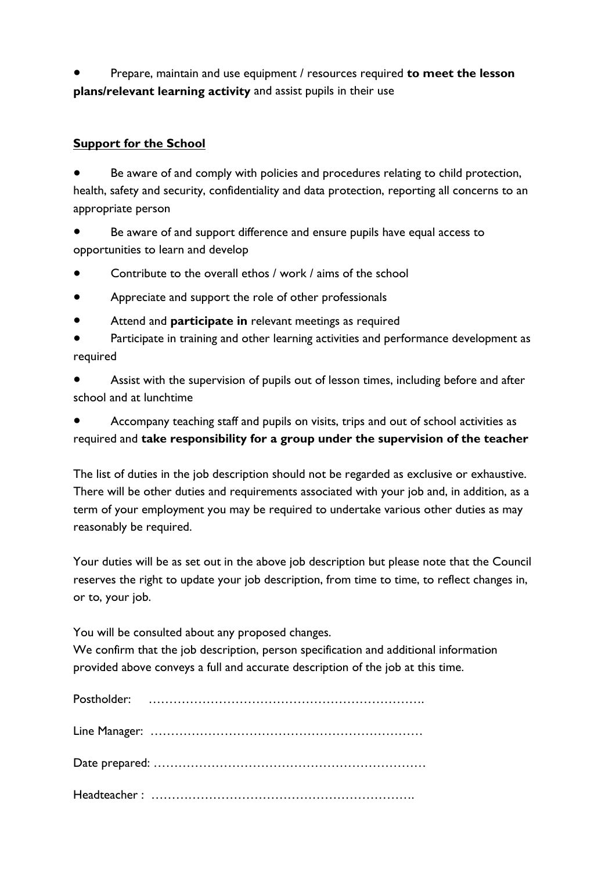Prepare, maintain and use equipment / resources required **to meet the lesson plans/relevant learning activity** and assist pupils in their use

#### **Support for the School**

Be aware of and comply with policies and procedures relating to child protection, health, safety and security, confidentiality and data protection, reporting all concerns to an appropriate person

Be aware of and support difference and ensure pupils have equal access to opportunities to learn and develop

- Contribute to the overall ethos / work / aims of the school
- Appreciate and support the role of other professionals
- Attend and **participate in** relevant meetings as required

Participate in training and other learning activities and performance development as required

Assist with the supervision of pupils out of lesson times, including before and after school and at lunchtime

Accompany teaching staff and pupils on visits, trips and out of school activities as required and **take responsibility for a group under the supervision of the teacher**

The list of duties in the job description should not be regarded as exclusive or exhaustive. There will be other duties and requirements associated with your job and, in addition, as a term of your employment you may be required to undertake various other duties as may reasonably be required.

Your duties will be as set out in the above job description but please note that the Council reserves the right to update your job description, from time to time, to reflect changes in, or to, your job.

You will be consulted about any proposed changes.

We confirm that the job description, person specification and additional information provided above conveys a full and accurate description of the job at this time.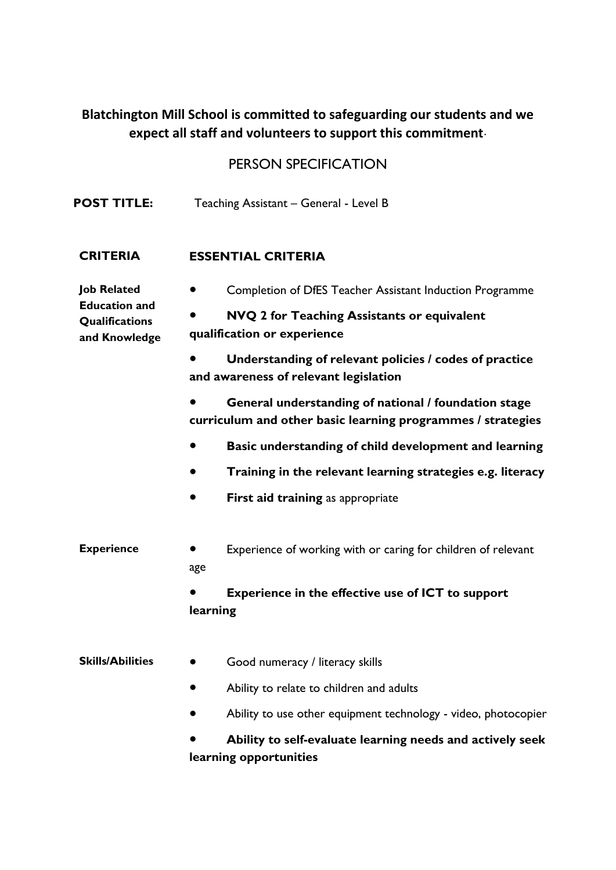# **Blatchington Mill School is committed to safeguarding our students and we expect all staff and volunteers to support this commitment**.

# PERSON SPECIFICATION

| <b>POST TITLE:</b>                                                            | Teaching Assistant - General - Level B                                                                              |  |  |  |
|-------------------------------------------------------------------------------|---------------------------------------------------------------------------------------------------------------------|--|--|--|
| <b>CRITERIA</b>                                                               | <b>ESSENTIAL CRITERIA</b>                                                                                           |  |  |  |
| <b>Job Related</b><br><b>Education and</b><br>Qualifications<br>and Knowledge | Completion of DfES Teacher Assistant Induction Programme                                                            |  |  |  |
|                                                                               | NVQ 2 for Teaching Assistants or equivalent<br>qualification or experience                                          |  |  |  |
|                                                                               | Understanding of relevant policies / codes of practice<br>and awareness of relevant legislation                     |  |  |  |
|                                                                               | General understanding of national / foundation stage<br>curriculum and other basic learning programmes / strategies |  |  |  |
|                                                                               | Basic understanding of child development and learning                                                               |  |  |  |
|                                                                               | Training in the relevant learning strategies e.g. literacy                                                          |  |  |  |
|                                                                               | First aid training as appropriate                                                                                   |  |  |  |
| <b>Experience</b>                                                             | Experience of working with or caring for children of relevant<br>age                                                |  |  |  |
|                                                                               | <b>Experience in the effective use of ICT to support</b><br>learning                                                |  |  |  |
| <b>Skills/Abilities</b>                                                       | Good numeracy / literacy skills                                                                                     |  |  |  |
|                                                                               | Ability to relate to children and adults                                                                            |  |  |  |
|                                                                               | Ability to use other equipment technology - video, photocopier                                                      |  |  |  |
|                                                                               | Ability to self-evaluate learning needs and actively seek                                                           |  |  |  |

**learning opportunities**